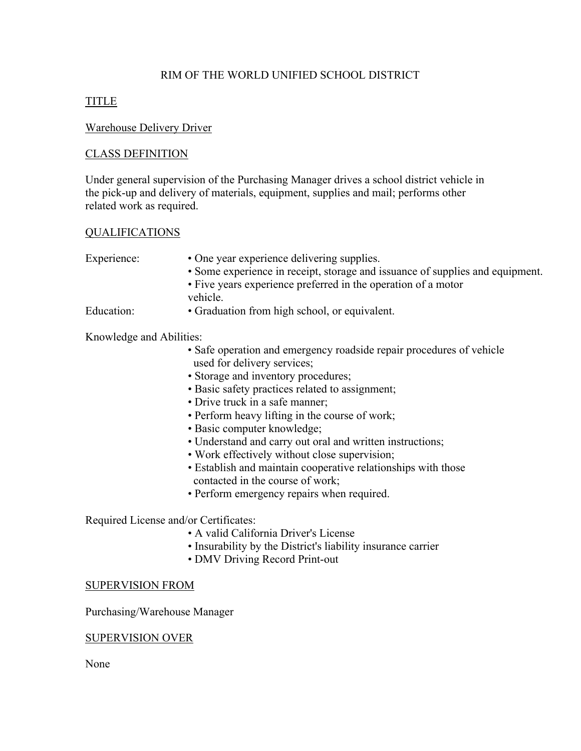# RIM OF THE WORLD UNIFIED SCHOOL DISTRICT

# TITLE

## Warehouse Delivery Driver

## CLASS DEFINITION

Under general supervision of the Purchasing Manager drives a school district vehicle in the pick-up and delivery of materials, equipment, supplies and mail; performs other related work as required.

### QUALIFICATIONS

- Experience: One year experience delivering supplies.
	- Some experience in receipt, storage and issuance of supplies and equipment.
	- Five years experience preferred in the operation of a motor vehicle.

Education: • Graduation from high school, or equivalent.

## Knowledge and Abilities:

- Safe operation and emergency roadside repair procedures of vehicle used for delivery services;
- Storage and inventory procedures;
- Basic safety practices related to assignment;
- Drive truck in a safe manner;
- Perform heavy lifting in the course of work;
- Basic computer knowledge;
- Understand and carry out oral and written instructions;
- Work effectively without close supervision;
- Establish and maintain cooperative relationships with those contacted in the course of work;
- Perform emergency repairs when required.

### Required License and/or Certificates:

- A valid California Driver's License
- Insurability by the District's liability insurance carrier
- DMV Driving Record Print-out

### SUPERVISION FROM

Purchasing/Warehouse Manager

### SUPERVISION OVER

None